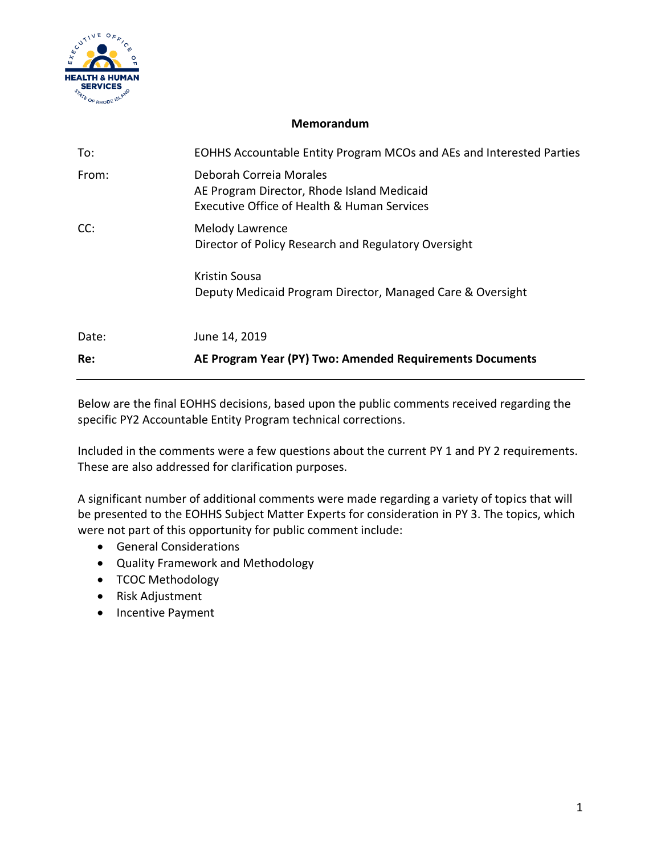

## **Memorandum**

| To:   | EOHHS Accountable Entity Program MCOs and AEs and Interested Parties                                                 |
|-------|----------------------------------------------------------------------------------------------------------------------|
| From: | Deborah Correia Morales<br>AE Program Director, Rhode Island Medicaid<br>Executive Office of Health & Human Services |
| CC:   | Melody Lawrence<br>Director of Policy Research and Regulatory Oversight                                              |
|       | Kristin Sousa<br>Deputy Medicaid Program Director, Managed Care & Oversight                                          |
| Date: | June 14, 2019                                                                                                        |
| Re:   | AE Program Year (PY) Two: Amended Requirements Documents                                                             |

Below are the final EOHHS decisions, based upon the public comments received regarding the specific PY2 Accountable Entity Program technical corrections.

Included in the comments were a few questions about the current PY 1 and PY 2 requirements. These are also addressed for clarification purposes.

A significant number of additional comments were made regarding a variety of topics that will be presented to the EOHHS Subject Matter Experts for consideration in PY 3. The topics, which were not part of this opportunity for public comment include:

- General Considerations
- Quality Framework and Methodology
- TCOC Methodology
- Risk Adjustment
- Incentive Payment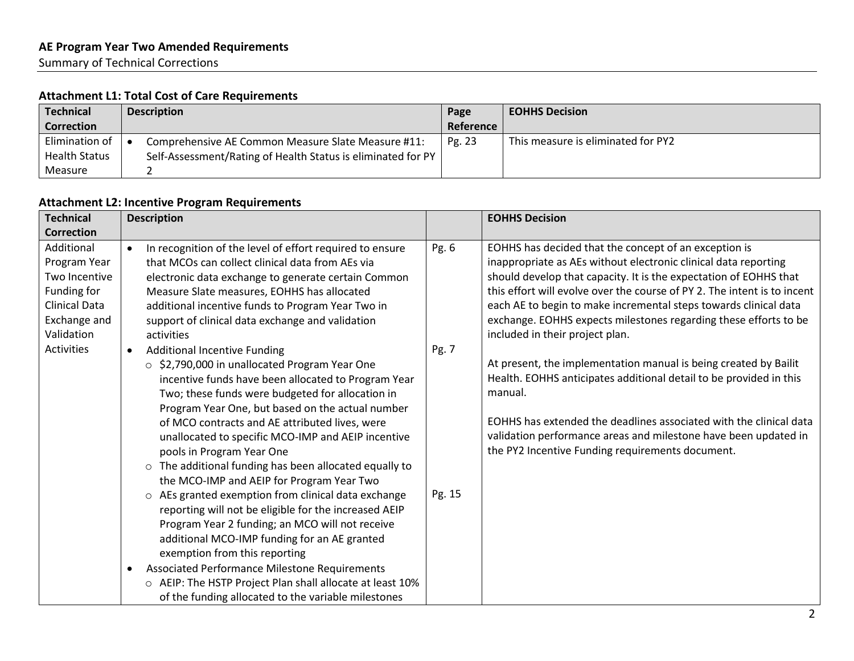## **Attachment L1: Total Cost of Care Requirements**

| <b>Technical</b>     | <b>Description</b>                                           | Page      | <b>EOHHS Decision</b>              |
|----------------------|--------------------------------------------------------------|-----------|------------------------------------|
| Correction           |                                                              | Reference |                                    |
| Elimination of       | Comprehensive AE Common Measure Slate Measure #11:           | Pg. 23    | This measure is eliminated for PY2 |
| <b>Health Status</b> | Self-Assessment/Rating of Health Status is eliminated for PY |           |                                    |
| Measure              |                                                              |           |                                    |

## **Attachment L2: Incentive Program Requirements**

| <b>Technical</b>                                                                                                 | <b>Description</b>                                                                                                                                                                                                                                                                                                                                                                                                                                                                                                                                                                                                                                                                                                                                                                                                                                                                                                                             |                 | <b>EOHHS Decision</b>                                                                                                                                                                                                                                                                                                                                                                                                                                |
|------------------------------------------------------------------------------------------------------------------|------------------------------------------------------------------------------------------------------------------------------------------------------------------------------------------------------------------------------------------------------------------------------------------------------------------------------------------------------------------------------------------------------------------------------------------------------------------------------------------------------------------------------------------------------------------------------------------------------------------------------------------------------------------------------------------------------------------------------------------------------------------------------------------------------------------------------------------------------------------------------------------------------------------------------------------------|-----------------|------------------------------------------------------------------------------------------------------------------------------------------------------------------------------------------------------------------------------------------------------------------------------------------------------------------------------------------------------------------------------------------------------------------------------------------------------|
| <b>Correction</b>                                                                                                |                                                                                                                                                                                                                                                                                                                                                                                                                                                                                                                                                                                                                                                                                                                                                                                                                                                                                                                                                |                 |                                                                                                                                                                                                                                                                                                                                                                                                                                                      |
| Additional<br>Program Year<br>Two Incentive<br>Funding for<br><b>Clinical Data</b><br>Exchange and<br>Validation | In recognition of the level of effort required to ensure<br>$\bullet$<br>that MCOs can collect clinical data from AEs via<br>electronic data exchange to generate certain Common<br>Measure Slate measures, EOHHS has allocated<br>additional incentive funds to Program Year Two in<br>support of clinical data exchange and validation<br>activities                                                                                                                                                                                                                                                                                                                                                                                                                                                                                                                                                                                         | Pg. 6           | EOHHS has decided that the concept of an exception is<br>inappropriate as AEs without electronic clinical data reporting<br>should develop that capacity. It is the expectation of EOHHS that<br>this effort will evolve over the course of PY 2. The intent is to incent<br>each AE to begin to make incremental steps towards clinical data<br>exchange. EOHHS expects milestones regarding these efforts to be<br>included in their project plan. |
| <b>Activities</b>                                                                                                | <b>Additional Incentive Funding</b><br>$\bullet$<br>○ \$2,790,000 in unallocated Program Year One<br>incentive funds have been allocated to Program Year<br>Two; these funds were budgeted for allocation in<br>Program Year One, but based on the actual number<br>of MCO contracts and AE attributed lives, were<br>unallocated to specific MCO-IMP and AEIP incentive<br>pools in Program Year One<br>The additional funding has been allocated equally to<br>$\circ$<br>the MCO-IMP and AEIP for Program Year Two<br>o AEs granted exemption from clinical data exchange<br>reporting will not be eligible for the increased AEIP<br>Program Year 2 funding; an MCO will not receive<br>additional MCO-IMP funding for an AE granted<br>exemption from this reporting<br>Associated Performance Milestone Requirements<br>o AEIP: The HSTP Project Plan shall allocate at least 10%<br>of the funding allocated to the variable milestones | Pg. 7<br>Pg. 15 | At present, the implementation manual is being created by Bailit<br>Health. EOHHS anticipates additional detail to be provided in this<br>manual.<br>EOHHS has extended the deadlines associated with the clinical data<br>validation performance areas and milestone have been updated in<br>the PY2 Incentive Funding requirements document.                                                                                                       |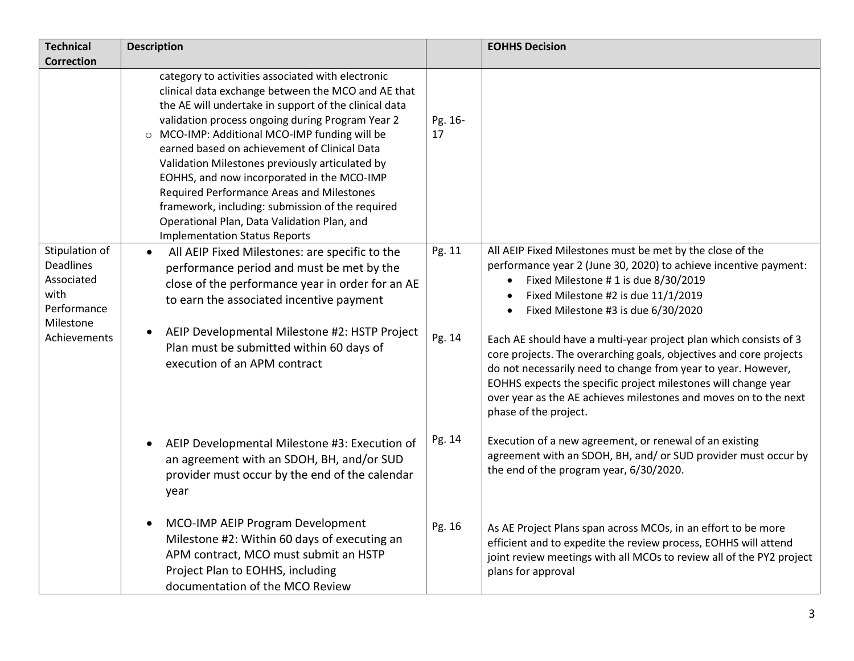| <b>Technical</b><br><b>Correction</b>                                                                | <b>Description</b>                                                                                                                                                                                                                                                                                                                                                                                                                                                                                                                                                                                             |                  | <b>EOHHS Decision</b>                                                                                                                                                                                                                                                                                                                                                                                                                                                                                                                                                                                                                                    |
|------------------------------------------------------------------------------------------------------|----------------------------------------------------------------------------------------------------------------------------------------------------------------------------------------------------------------------------------------------------------------------------------------------------------------------------------------------------------------------------------------------------------------------------------------------------------------------------------------------------------------------------------------------------------------------------------------------------------------|------------------|----------------------------------------------------------------------------------------------------------------------------------------------------------------------------------------------------------------------------------------------------------------------------------------------------------------------------------------------------------------------------------------------------------------------------------------------------------------------------------------------------------------------------------------------------------------------------------------------------------------------------------------------------------|
|                                                                                                      | category to activities associated with electronic<br>clinical data exchange between the MCO and AE that<br>the AE will undertake in support of the clinical data<br>validation process ongoing during Program Year 2<br>O MCO-IMP: Additional MCO-IMP funding will be<br>earned based on achievement of Clinical Data<br>Validation Milestones previously articulated by<br>EOHHS, and now incorporated in the MCO-IMP<br>Required Performance Areas and Milestones<br>framework, including: submission of the required<br>Operational Plan, Data Validation Plan, and<br><b>Implementation Status Reports</b> | Pg. 16-<br>17    |                                                                                                                                                                                                                                                                                                                                                                                                                                                                                                                                                                                                                                                          |
| Stipulation of<br><b>Deadlines</b><br>Associated<br>with<br>Performance<br>Milestone<br>Achievements | All AEIP Fixed Milestones: are specific to the<br>$\bullet$<br>performance period and must be met by the<br>close of the performance year in order for an AE<br>to earn the associated incentive payment<br>AEIP Developmental Milestone #2: HSTP Project<br>Plan must be submitted within 60 days of<br>execution of an APM contract                                                                                                                                                                                                                                                                          | Pg. 11<br>Pg. 14 | All AEIP Fixed Milestones must be met by the close of the<br>performance year 2 (June 30, 2020) to achieve incentive payment:<br>Fixed Milestone # 1 is due 8/30/2019<br>$\bullet$<br>Fixed Milestone #2 is due 11/1/2019<br>Fixed Milestone #3 is due 6/30/2020<br>$\bullet$<br>Each AE should have a multi-year project plan which consists of 3<br>core projects. The overarching goals, objectives and core projects<br>do not necessarily need to change from year to year. However,<br>EOHHS expects the specific project milestones will change year<br>over year as the AE achieves milestones and moves on to the next<br>phase of the project. |
|                                                                                                      | AEIP Developmental Milestone #3: Execution of<br>an agreement with an SDOH, BH, and/or SUD<br>provider must occur by the end of the calendar<br>year                                                                                                                                                                                                                                                                                                                                                                                                                                                           | Pg. 14           | Execution of a new agreement, or renewal of an existing<br>agreement with an SDOH, BH, and/ or SUD provider must occur by<br>the end of the program year, 6/30/2020.                                                                                                                                                                                                                                                                                                                                                                                                                                                                                     |
|                                                                                                      | MCO-IMP AEIP Program Development<br>$\bullet$<br>Milestone #2: Within 60 days of executing an<br>APM contract, MCO must submit an HSTP<br>Project Plan to EOHHS, including<br>documentation of the MCO Review                                                                                                                                                                                                                                                                                                                                                                                                  | Pg. 16           | As AE Project Plans span across MCOs, in an effort to be more<br>efficient and to expedite the review process, EOHHS will attend<br>joint review meetings with all MCOs to review all of the PY2 project<br>plans for approval                                                                                                                                                                                                                                                                                                                                                                                                                           |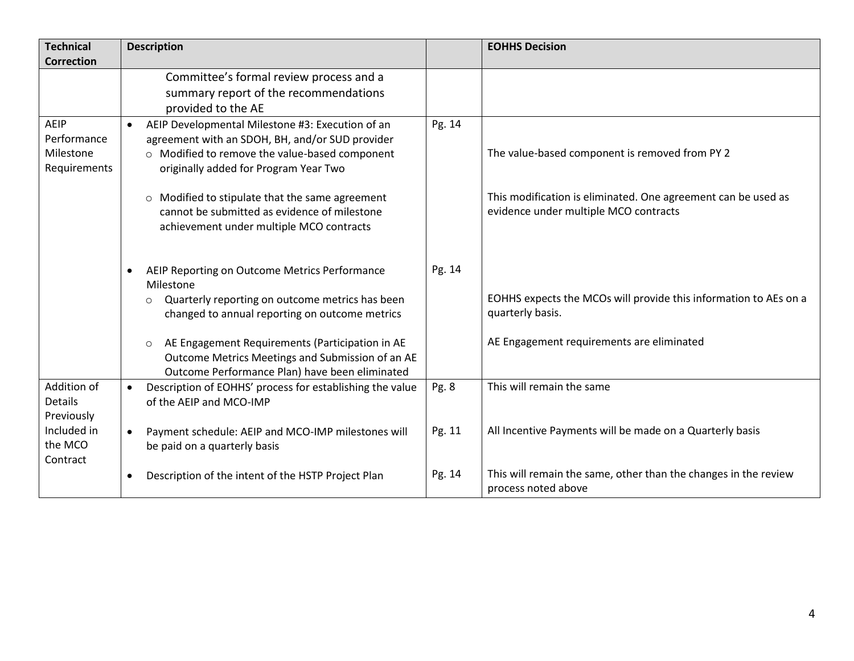| <b>Technical</b><br><b>Correction</b>            |           | <b>Description</b>                                                                                                                                                                             |        | <b>EOHHS Decision</b>                                                                                  |
|--------------------------------------------------|-----------|------------------------------------------------------------------------------------------------------------------------------------------------------------------------------------------------|--------|--------------------------------------------------------------------------------------------------------|
|                                                  |           | Committee's formal review process and a<br>summary report of the recommendations<br>provided to the AE                                                                                         |        |                                                                                                        |
| AEIP<br>Performance<br>Milestone<br>Requirements |           | AEIP Developmental Milestone #3: Execution of an<br>agreement with an SDOH, BH, and/or SUD provider<br>o Modified to remove the value-based component<br>originally added for Program Year Two | Pg. 14 | The value-based component is removed from PY 2                                                         |
|                                                  |           | o Modified to stipulate that the same agreement<br>cannot be submitted as evidence of milestone<br>achievement under multiple MCO contracts                                                    |        | This modification is eliminated. One agreement can be used as<br>evidence under multiple MCO contracts |
|                                                  |           | AEIP Reporting on Outcome Metrics Performance<br>Milestone<br>Quarterly reporting on outcome metrics has been<br>$\circ$<br>changed to annual reporting on outcome metrics                     | Pg. 14 | EOHHS expects the MCOs will provide this information to AEs on a<br>quarterly basis.                   |
|                                                  |           | AE Engagement Requirements (Participation in AE<br>$\circ$<br>Outcome Metrics Meetings and Submission of an AE<br>Outcome Performance Plan) have been eliminated                               |        | AE Engagement requirements are eliminated                                                              |
| Addition of<br><b>Details</b><br>Previously      |           | Description of EOHHS' process for establishing the value<br>of the AEIP and MCO-IMP                                                                                                            | Pg. 8  | This will remain the same                                                                              |
| Included in<br>the MCO<br>Contract               | $\bullet$ | Payment schedule: AEIP and MCO-IMP milestones will<br>be paid on a quarterly basis                                                                                                             | Pg. 11 | All Incentive Payments will be made on a Quarterly basis                                               |
|                                                  | $\bullet$ | Description of the intent of the HSTP Project Plan                                                                                                                                             | Pg. 14 | This will remain the same, other than the changes in the review<br>process noted above                 |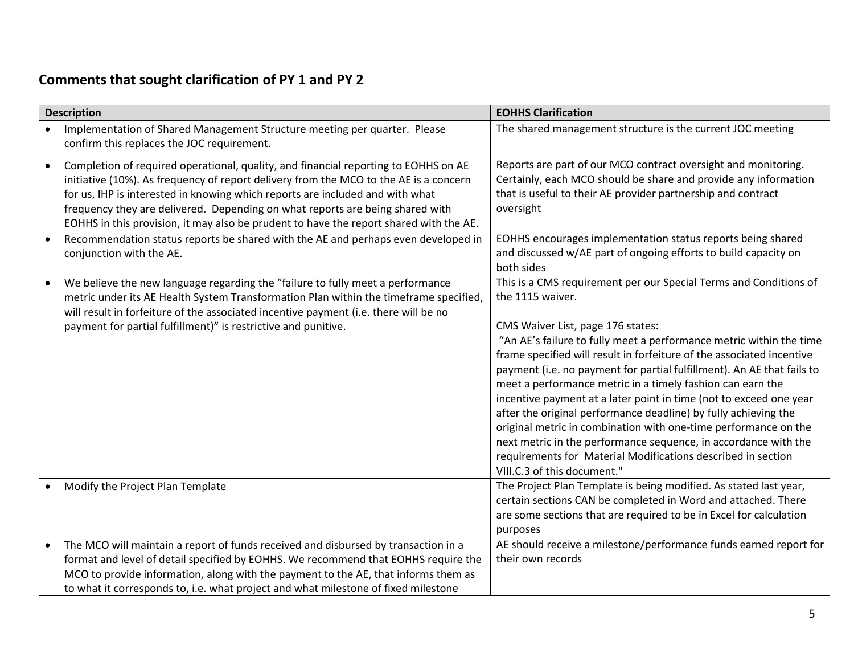## **Comments that sought clarification of PY 1 and PY 2**

|           | <b>Description</b>                                                                                                                                                                                                                                                                                                                                                                                                                       | <b>EOHHS Clarification</b>                                                                                                                                                                                                                                                                                                                                                                                                                                                                                                                                                                                                                                                                                                                                        |
|-----------|------------------------------------------------------------------------------------------------------------------------------------------------------------------------------------------------------------------------------------------------------------------------------------------------------------------------------------------------------------------------------------------------------------------------------------------|-------------------------------------------------------------------------------------------------------------------------------------------------------------------------------------------------------------------------------------------------------------------------------------------------------------------------------------------------------------------------------------------------------------------------------------------------------------------------------------------------------------------------------------------------------------------------------------------------------------------------------------------------------------------------------------------------------------------------------------------------------------------|
|           | Implementation of Shared Management Structure meeting per quarter. Please<br>confirm this replaces the JOC requirement.                                                                                                                                                                                                                                                                                                                  | The shared management structure is the current JOC meeting                                                                                                                                                                                                                                                                                                                                                                                                                                                                                                                                                                                                                                                                                                        |
| $\bullet$ | Completion of required operational, quality, and financial reporting to EOHHS on AE<br>initiative (10%). As frequency of report delivery from the MCO to the AE is a concern<br>for us, IHP is interested in knowing which reports are included and with what<br>frequency they are delivered. Depending on what reports are being shared with<br>EOHHS in this provision, it may also be prudent to have the report shared with the AE. | Reports are part of our MCO contract oversight and monitoring.<br>Certainly, each MCO should be share and provide any information<br>that is useful to their AE provider partnership and contract<br>oversight                                                                                                                                                                                                                                                                                                                                                                                                                                                                                                                                                    |
|           | Recommendation status reports be shared with the AE and perhaps even developed in<br>conjunction with the AE.                                                                                                                                                                                                                                                                                                                            | EOHHS encourages implementation status reports being shared<br>and discussed w/AE part of ongoing efforts to build capacity on<br>both sides                                                                                                                                                                                                                                                                                                                                                                                                                                                                                                                                                                                                                      |
|           | We believe the new language regarding the "failure to fully meet a performance<br>metric under its AE Health System Transformation Plan within the timeframe specified,<br>will result in forfeiture of the associated incentive payment (i.e. there will be no<br>payment for partial fulfillment)" is restrictive and punitive.                                                                                                        | This is a CMS requirement per our Special Terms and Conditions of<br>the 1115 waiver.<br>CMS Waiver List, page 176 states:<br>"An AE's failure to fully meet a performance metric within the time<br>frame specified will result in forfeiture of the associated incentive<br>payment (i.e. no payment for partial fulfillment). An AE that fails to<br>meet a performance metric in a timely fashion can earn the<br>incentive payment at a later point in time (not to exceed one year<br>after the original performance deadline) by fully achieving the<br>original metric in combination with one-time performance on the<br>next metric in the performance sequence, in accordance with the<br>requirements for Material Modifications described in section |
|           |                                                                                                                                                                                                                                                                                                                                                                                                                                          | VIII.C.3 of this document."                                                                                                                                                                                                                                                                                                                                                                                                                                                                                                                                                                                                                                                                                                                                       |
|           | Modify the Project Plan Template                                                                                                                                                                                                                                                                                                                                                                                                         | The Project Plan Template is being modified. As stated last year,<br>certain sections CAN be completed in Word and attached. There<br>are some sections that are required to be in Excel for calculation<br>purposes                                                                                                                                                                                                                                                                                                                                                                                                                                                                                                                                              |
| $\bullet$ | The MCO will maintain a report of funds received and disbursed by transaction in a<br>format and level of detail specified by EOHHS. We recommend that EOHHS require the<br>MCO to provide information, along with the payment to the AE, that informs them as<br>to what it corresponds to, i.e. what project and what milestone of fixed milestone                                                                                     | AE should receive a milestone/performance funds earned report for<br>their own records                                                                                                                                                                                                                                                                                                                                                                                                                                                                                                                                                                                                                                                                            |